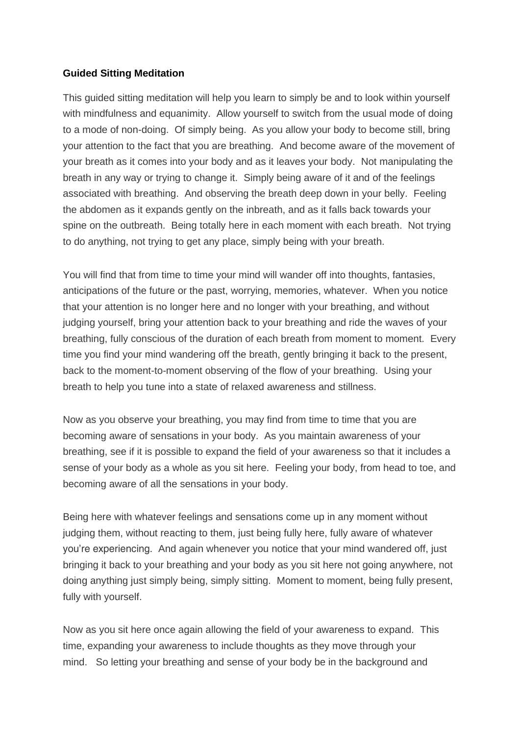#### **Guided Sitting Meditation**

This guided sitting meditation will help you learn to simply be and to look within yourself with mindfulness and equanimity. Allow yourself to switch from the usual mode of doing to a mode of non-doing. Of simply being. As you allow your body to become still, bring your attention to the fact that you are breathing. And become aware of the movement of your breath as it comes into your body and as it leaves your body. Not manipulating the breath in any way or trying to change it. Simply being aware of it and of the feelings associated with breathing. And observing the breath deep down in your belly. Feeling the abdomen as it expands gently on the inbreath, and as it falls back towards your spine on the outbreath. Being totally here in each moment with each breath. Not trying to do anything, not trying to get any place, simply being with your breath.

You will find that from time to time your mind will wander off into thoughts, fantasies, anticipations of the future or the past, worrying, memories, whatever. When you notice that your attention is no longer here and no longer with your breathing, and without judging yourself, bring your attention back to your breathing and ride the waves of your breathing, fully conscious of the duration of each breath from moment to moment. Every time you find your mind wandering off the breath, gently bringing it back to the present, back to the moment-to-moment observing of the flow of your breathing. Using your breath to help you tune into a state of relaxed awareness and stillness.

Now as you observe your breathing, you may find from time to time that you are becoming aware of sensations in your body. As you maintain awareness of your breathing, see if it is possible to expand the field of your awareness so that it includes a sense of your body as a whole as you sit here. Feeling your body, from head to toe, and becoming aware of all the sensations in your body.

Being here with whatever feelings and sensations come up in any moment without judging them, without reacting to them, just being fully here, fully aware of whatever you're experiencing. And again whenever you notice that your mind wandered off, just bringing it back to your breathing and your body as you sit here not going anywhere, not doing anything just simply being, simply sitting. Moment to moment, being fully present, fully with yourself.

Now as you sit here once again allowing the field of your awareness to expand. This time, expanding your awareness to include thoughts as they move through your mind. So letting your breathing and sense of your body be in the background and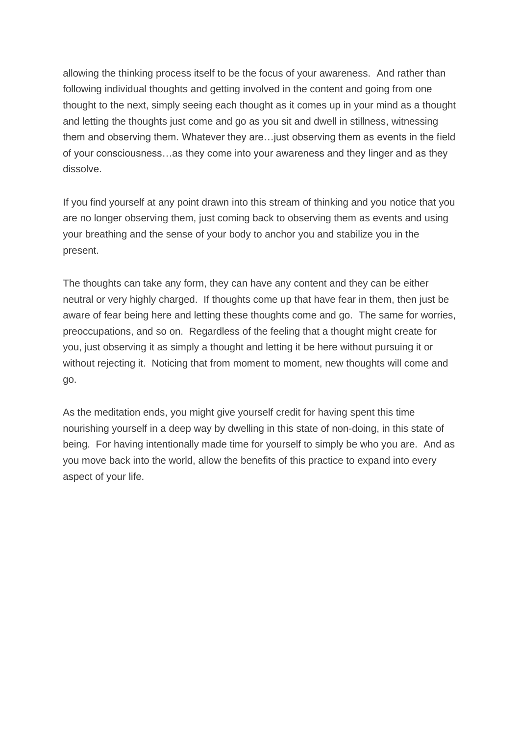allowing the thinking process itself to be the focus of your awareness. And rather than following individual thoughts and getting involved in the content and going from one thought to the next, simply seeing each thought as it comes up in your mind as a thought and letting the thoughts just come and go as you sit and dwell in stillness, witnessing them and observing them. Whatever they are…just observing them as events in the field of your consciousness…as they come into your awareness and they linger and as they dissolve.

If you find yourself at any point drawn into this stream of thinking and you notice that you are no longer observing them, just coming back to observing them as events and using your breathing and the sense of your body to anchor you and stabilize you in the present.

The thoughts can take any form, they can have any content and they can be either neutral or very highly charged. If thoughts come up that have fear in them, then just be aware of fear being here and letting these thoughts come and go. The same for worries, preoccupations, and so on. Regardless of the feeling that a thought might create for you, just observing it as simply a thought and letting it be here without pursuing it or without rejecting it. Noticing that from moment to moment, new thoughts will come and go.

As the meditation ends, you might give yourself credit for having spent this time nourishing yourself in a deep way by dwelling in this state of non-doing, in this state of being. For having intentionally made time for yourself to simply be who you are. And as you move back into the world, allow the benefits of this practice to expand into every aspect of your life.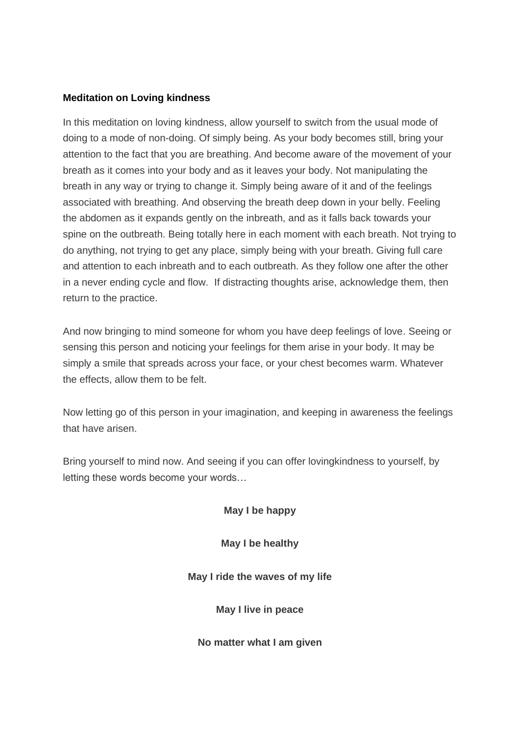#### **Meditation on Loving kindness**

In this meditation on loving kindness, allow yourself to switch from the usual mode of doing to a mode of non-doing. Of simply being. As your body becomes still, bring your attention to the fact that you are breathing. And become aware of the movement of your breath as it comes into your body and as it leaves your body. Not manipulating the breath in any way or trying to change it. Simply being aware of it and of the feelings associated with breathing. And observing the breath deep down in your belly. Feeling the abdomen as it expands gently on the inbreath, and as it falls back towards your spine on the outbreath. Being totally here in each moment with each breath. Not trying to do anything, not trying to get any place, simply being with your breath. Giving full care and attention to each inbreath and to each outbreath. As they follow one after the other in a never ending cycle and flow. If distracting thoughts arise, acknowledge them, then return to the practice.

And now bringing to mind someone for whom you have deep feelings of love. Seeing or sensing this person and noticing your feelings for them arise in your body. It may be simply a smile that spreads across your face, or your chest becomes warm. Whatever the effects, allow them to be felt.

Now letting go of this person in your imagination, and keeping in awareness the feelings that have arisen.

Bring yourself to mind now. And seeing if you can offer lovingkindness to yourself, by letting these words become your words…

*May I be happy*

*May I be healthy*

*May I ride the waves of my life*

*May I live in peace*

*No matter what I am given*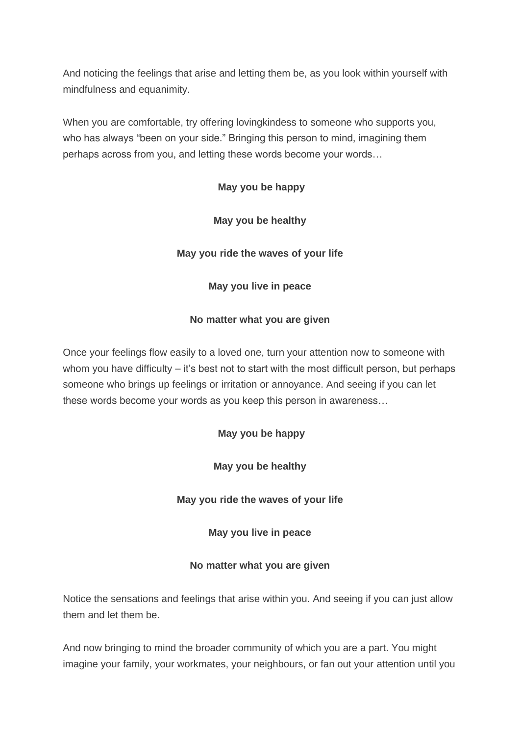And noticing the feelings that arise and letting them be, as you look within yourself with mindfulness and equanimity.

When you are comfortable, try offering lovingkindess to someone who supports you, who has always "been on your side." Bringing this person to mind, imagining them perhaps across from you, and letting these words become your words…

# *May you be happy*

### *May you be healthy*

### *May you ride the waves of your life*

### *May you live in peace*

### *No matter what you are given*

Once your feelings flow easily to a loved one, turn your attention now to someone with whom you have difficulty – it's best not to start with the most difficult person, but perhaps someone who brings up feelings or irritation or annoyance. And seeing if you can let these words become your words as you keep this person in awareness…

# *May you be happy*

*May you be healthy*

*May you ride the waves of your life*

*May you live in peace*

# *No matter what you are given*

Notice the sensations and feelings that arise within you. And seeing if you can just allow them and let them be.

And now bringing to mind the broader community of which you are a part. You might imagine your family, your workmates, your neighbours, or fan out your attention until you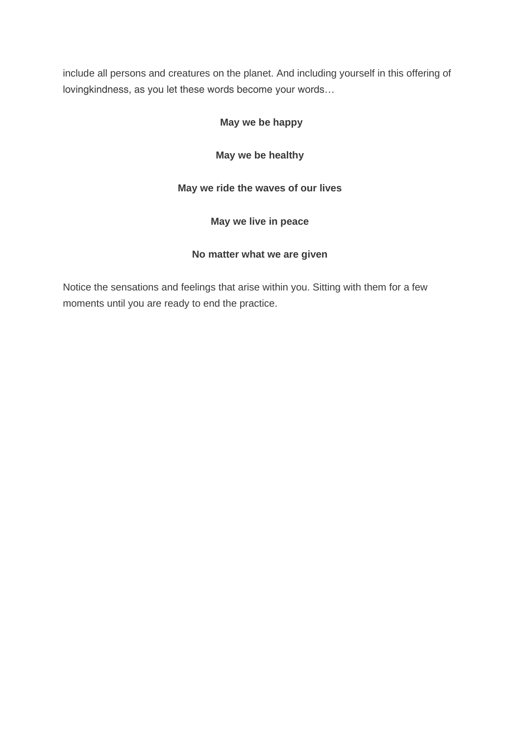include all persons and creatures on the planet. And including yourself in this offering of lovingkindness, as you let these words become your words…

# *May we be happy*

*May we be healthy*

# *May we ride the waves of our lives*

*May we live in peace*

# *No matter what we are given*

Notice the sensations and feelings that arise within you. Sitting with them for a few moments until you are ready to end the practice.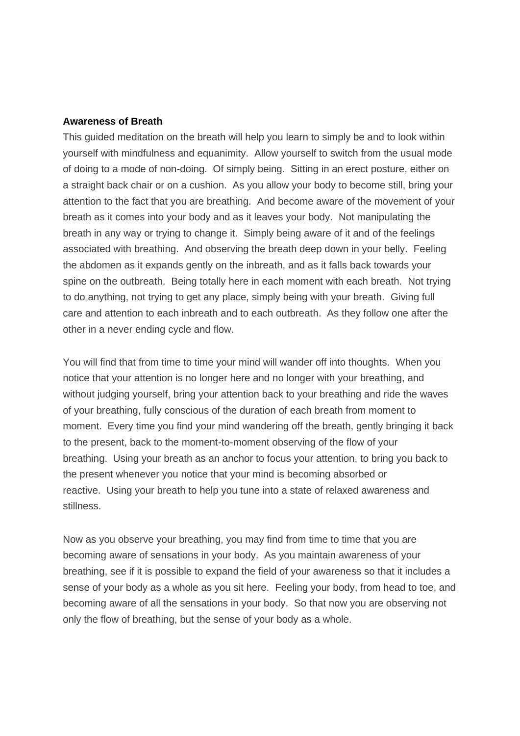#### **Awareness of Breath**

This guided meditation on the breath will help you learn to simply be and to look within yourself with mindfulness and equanimity. Allow yourself to switch from the usual mode of doing to a mode of non-doing. Of simply being. Sitting in an erect posture, either on a straight back chair or on a cushion. As you allow your body to become still, bring your attention to the fact that you are breathing. And become aware of the movement of your breath as it comes into your body and as it leaves your body. Not manipulating the breath in any way or trying to change it. Simply being aware of it and of the feelings associated with breathing. And observing the breath deep down in your belly. Feeling the abdomen as it expands gently on the inbreath, and as it falls back towards your spine on the outbreath. Being totally here in each moment with each breath. Not trying to do anything, not trying to get any place, simply being with your breath. Giving full care and attention to each inbreath and to each outbreath. As they follow one after the other in a never ending cycle and flow.

You will find that from time to time your mind will wander off into thoughts. When you notice that your attention is no longer here and no longer with your breathing, and without judging yourself, bring your attention back to your breathing and ride the waves of your breathing, fully conscious of the duration of each breath from moment to moment. Every time you find your mind wandering off the breath, gently bringing it back to the present, back to the moment-to-moment observing of the flow of your breathing. Using your breath as an anchor to focus your attention, to bring you back to the present whenever you notice that your mind is becoming absorbed or reactive. Using your breath to help you tune into a state of relaxed awareness and stillness.

Now as you observe your breathing, you may find from time to time that you are becoming aware of sensations in your body. As you maintain awareness of your breathing, see if it is possible to expand the field of your awareness so that it includes a sense of your body as a whole as you sit here. Feeling your body, from head to toe, and becoming aware of all the sensations in your body. So that now you are observing not only the flow of breathing, but the sense of your body as a whole.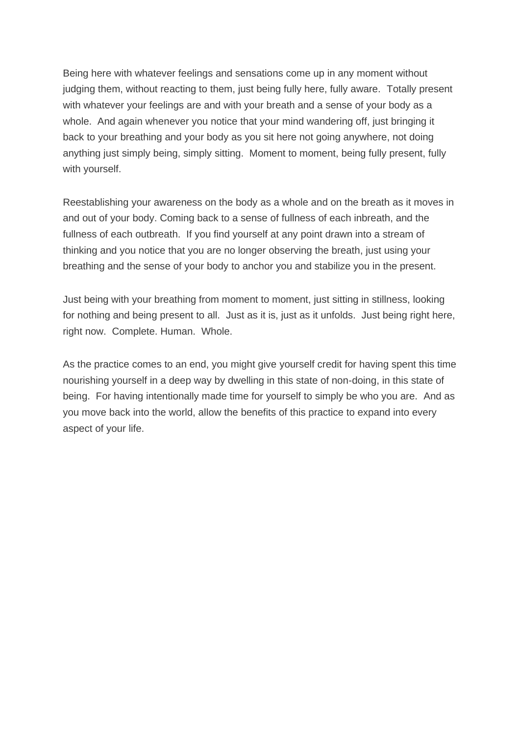Being here with whatever feelings and sensations come up in any moment without judging them, without reacting to them, just being fully here, fully aware. Totally present with whatever your feelings are and with your breath and a sense of your body as a whole. And again whenever you notice that your mind wandering off, just bringing it back to your breathing and your body as you sit here not going anywhere, not doing anything just simply being, simply sitting. Moment to moment, being fully present, fully with yourself.

Reestablishing your awareness on the body as a whole and on the breath as it moves in and out of your body. Coming back to a sense of fullness of each inbreath, and the fullness of each outbreath. If you find yourself at any point drawn into a stream of thinking and you notice that you are no longer observing the breath, just using your breathing and the sense of your body to anchor you and stabilize you in the present.

Just being with your breathing from moment to moment, just sitting in stillness, looking for nothing and being present to all. Just as it is, just as it unfolds. Just being right here, right now. Complete. Human. Whole.

As the practice comes to an end, you might give yourself credit for having spent this time nourishing yourself in a deep way by dwelling in this state of non-doing, in this state of being. For having intentionally made time for yourself to simply be who you are. And as you move back into the world, allow the benefits of this practice to expand into every aspect of your life.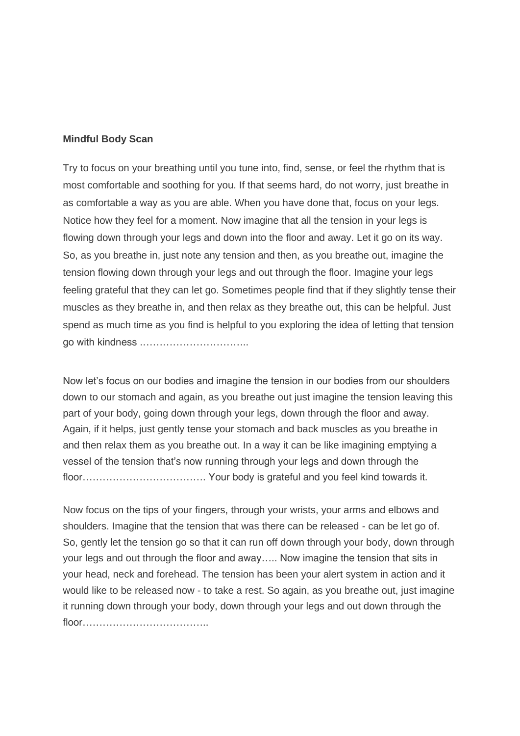#### **Mindful Body Scan**

Try to focus on your breathing until you tune into, find, sense, or feel the rhythm that is most comfortable and soothing for you. If that seems hard, do not worry, just breathe in as comfortable a way as you are able. When you have done that, focus on your legs. Notice how they feel for a moment. Now imagine that all the tension in your legs is flowing down through your legs and down into the floor and away. Let it go on its way. So, as you breathe in, just note any tension and then, as you breathe out, imagine the tension flowing down through your legs and out through the floor. Imagine your legs feeling grateful that they can let go. Sometimes people find that if they slightly tense their muscles as they breathe in, and then relax as they breathe out, this can be helpful. Just spend as much time as you find is helpful to you exploring the idea of letting that tension go with kindness .…………………………..

Now let's focus on our bodies and imagine the tension in our bodies from our shoulders down to our stomach and again, as you breathe out just imagine the tension leaving this part of your body, going down through your legs, down through the floor and away. Again, if it helps, just gently tense your stomach and back muscles as you breathe in and then relax them as you breathe out. In a way it can be like imagining emptying a vessel of the tension that's now running through your legs and down through the floor………………………………. Your body is grateful and you feel kind towards it.

Now focus on the tips of your fingers, through your wrists, your arms and elbows and shoulders. Imagine that the tension that was there can be released - can be let go of. So, gently let the tension go so that it can run off down through your body, down through your legs and out through the floor and away….. Now imagine the tension that sits in your head, neck and forehead. The tension has been your alert system in action and it would like to be released now - to take a rest. So again, as you breathe out, just imagine it running down through your body, down through your legs and out down through the floor………………………………..